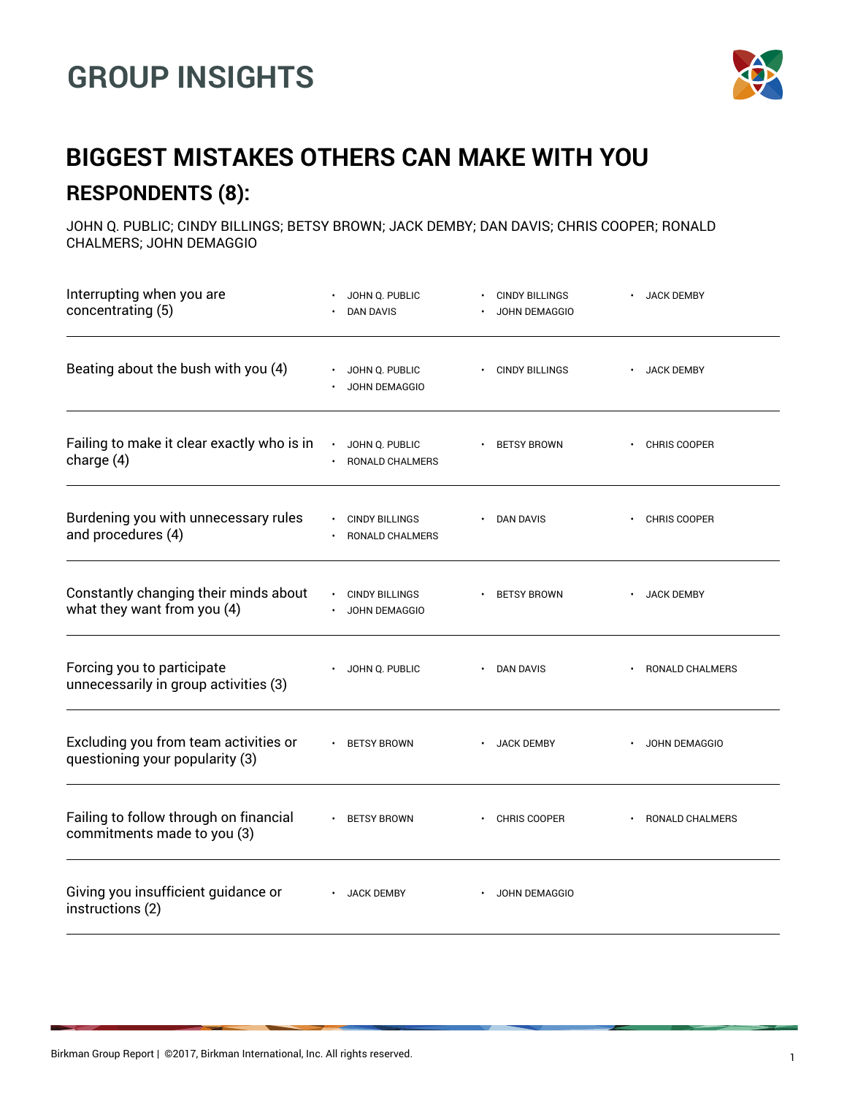## **GROUP INSIGHTS**



## **BIGGEST MISTAKES OTHERS CAN MAKE WITH YOU RESPONDENTS (8):**

JOHN Q. PUBLIC; CINDY BILLINGS; BETSY BROWN; JACK DEMBY; DAN DAVIS; CHRIS COOPER; RONALD CHALMERS; JOHN DEMAGGIO

| Interrupting when you are<br>concentrating (5)                           | JOHN Q. PUBLIC<br><b>DAN DAVIS</b>       | <b>CINDY BILLINGS</b><br>JOHN DEMAGGIO | <b>JACK DEMBY</b> |
|--------------------------------------------------------------------------|------------------------------------------|----------------------------------------|-------------------|
| Beating about the bush with you (4)                                      | JOHN Q. PUBLIC<br>JOHN DEMAGGIO          | · CINDY BILLINGS                       | <b>JACK DEMBY</b> |
| Failing to make it clear exactly who is in<br>charge (4)                 | JOHN Q. PUBLIC<br>RONALD CHALMERS        | <b>BETSY BROWN</b>                     | CHRIS COOPER      |
| Burdening you with unnecessary rules<br>and procedures (4)               | <b>CINDY BILLINGS</b><br>RONALD CHALMERS | DAN DAVIS                              | CHRIS COOPER      |
| Constantly changing their minds about<br>what they want from you (4)     | <b>CINDY BILLINGS</b><br>JOHN DEMAGGIO   | <b>BETSY BROWN</b>                     | <b>JACK DEMBY</b> |
| Forcing you to participate<br>unnecessarily in group activities (3)      | JOHN Q. PUBLIC                           | DAN DAVIS                              | RONALD CHALMERS   |
| Excluding you from team activities or<br>questioning your popularity (3) | <b>BETSY BROWN</b>                       | <b>JACK DEMBY</b>                      | JOHN DEMAGGIO     |
| Failing to follow through on financial<br>commitments made to you (3)    | <b>BETSY BROWN</b>                       | CHRIS COOPER                           | RONALD CHALMERS   |
| Giving you insufficient guidance or<br>instructions (2)                  | <b>JACK DEMBY</b>                        | JOHN DEMAGGIO                          |                   |